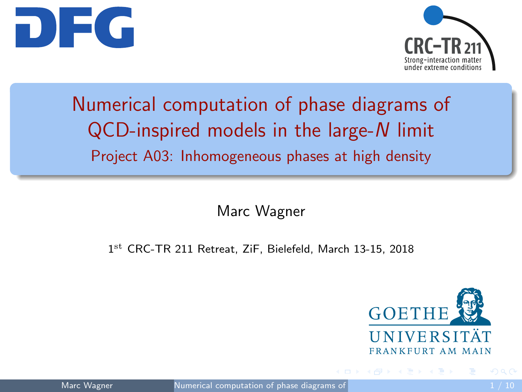<span id="page-0-0"></span>



# Numerical computation of phase diagrams of QCD-inspired models in the large-N limit Project A03: Inhomogeneous phases at high density

Marc Wagner

1 st CRC-TR 211 Retreat, ZiF, Bielefeld, March 13-15, 2018



 $\left\{ \left\vert \left\langle \left\langle \left\langle \mathbf{q} \right\rangle \right\rangle \right\rangle \right\vert \left\langle \mathbf{q} \right\rangle \right\vert \left\langle \mathbf{q} \right\rangle \right\vert \left\langle \mathbf{q} \right\rangle \right\vert \left\langle \mathbf{q} \right\rangle \left\langle \mathbf{q} \right\rangle \right\vert$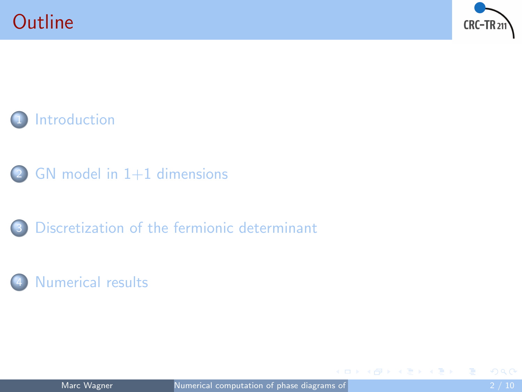







#### [Numerical results](#page-8-0)

 $\mathcal{A} \cap \overline{\mathcal{P}} \rightarrow \mathcal{A} \implies \mathcal{A} \implies \mathcal{A}$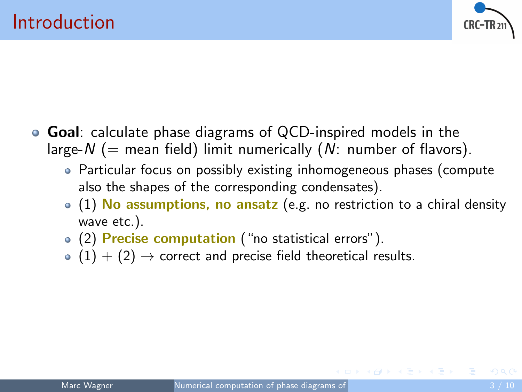

- <span id="page-2-0"></span>Goal: calculate phase diagrams of QCD-inspired models in the large-N (= mean field) limit numerically  $(N:$  number of flavors).
	- Particular focus on possibly existing inhomogeneous phases (compute also the shapes of the corresponding condensates).
	- $\bullet$  (1) No assumptions, no ansatz (e.g. no restriction to a chiral density wave etc.).
	- (2) Precise computation ("no statistical errors").
	- $(1) + (2) \rightarrow$  correct and precise field theoretical results.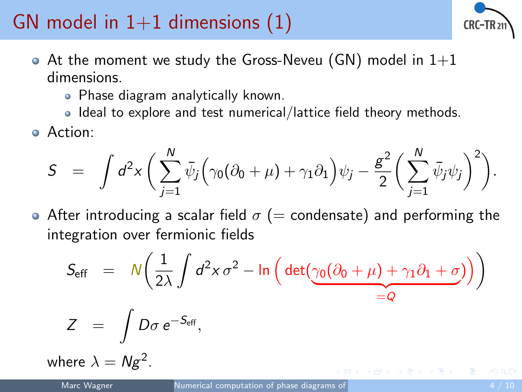# <span id="page-3-0"></span>GN model in  $1+1$  dimensions  $(1)$



- $\bullet$  At the moment we study the Gross-Neveu (GN) model in  $1+1$ dimensions.
	- Phase diagram analytically known.
	- Ideal to explore and test numerical/lattice field theory methods.
- Action:

$$
S = \int d^2x \left( \sum_{j=1}^N \bar{\psi}_j \left( \gamma_0 (\partial_0 + \mu) + \gamma_1 \partial_1 \right) \psi_j - \frac{g^2}{2} \left( \sum_{j=1}^N \bar{\psi}_j \psi_j \right)^2 \right).
$$

• After introducing a scalar field  $\sigma$  (= condensate) and performing the integration over fermionic fields

$$
S_{\text{eff}} = N \left( \frac{1}{2\lambda} \int d^2 x \, \sigma^2 - \ln \left( \det \left( \underbrace{\gamma_0 (\partial_0 + \mu) + \gamma_1 \partial_1 + \sigma}_{=Q} \right) \right) \right)
$$
  

$$
Z = \int D\sigma \, e^{-S_{\text{eff}}},
$$

where  $\lambda = Ng^2$ .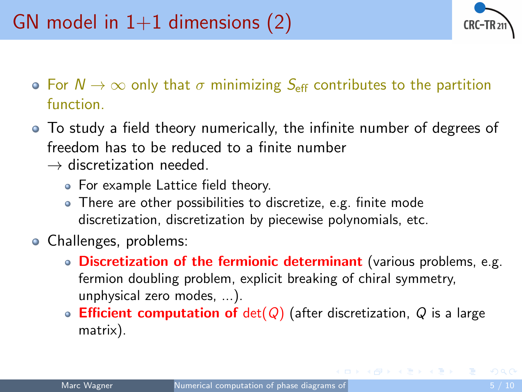

- **•** For  $N \to \infty$  only that  $\sigma$  minimizing  $S_{\text{eff}}$  contributes to the partition function.
- To study a field theory numerically, the infinite number of degrees of freedom has to be reduced to a finite number
	- $\rightarrow$  discretization needed.
		- For example Lattice field theory.
		- There are other possibilities to discretize, e.g. finite mode discretization, discretization by piecewise polynomials, etc.
- Challenges, problems:
	- Discretization of the fermionic determinant (various problems, e.g. fermion doubling problem, explicit breaking of chiral symmetry, unphysical zero modes, ...).
	- **Efficient computation of**  $det(Q)$  (after discretization, Q is a large matrix).

 $\mathcal{A} \cap \overline{\mathcal{P}} \rightarrow \mathcal{A} \implies \mathcal{A} \implies \mathcal{A}$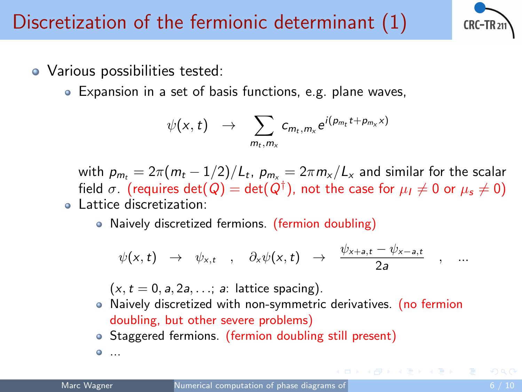

- <span id="page-5-0"></span>Various possibilities tested:
	- Expansion in a set of basis functions, e.g. plane waves,

$$
\psi(x,t) \rightarrow \sum_{m_t,m_x} c_{m_t,m_x} e^{i(p_{m_t}t + p_{m_x}x)}
$$

with  $\rho_{m_t} = 2\pi (m_t - 1/2)/L_t$ ,  $\rho_{m_\chi} = 2\pi m_\chi/L_\chi$  and similar for the scalar field  $\sigma_{+}$  (requires  $\det(Q)=\det(Q^{\dagger}),$  not the case for  $\mu_I\neq 0$  or  $\mu_{\mathsf{s}}\neq 0)$ Lattice discretization:

• Naively discretized fermions. (fermion doubling)

$$
\psi(x,t) \rightarrow \psi_{x,t} \quad , \quad \partial_x \psi(x,t) \rightarrow \frac{\psi_{x+a,t} - \psi_{x-a,t}}{2a} \quad , \quad ...
$$

 $(x, t = 0, a, 2a, \ldots; a$ : lattice spacing).

- Naively discretized with non-symmetric derivatives. (no fermion doubling, but other severe problems)
- Staggered fermions. (fermion doubling still present)
- ...

AD > ( E > ( E >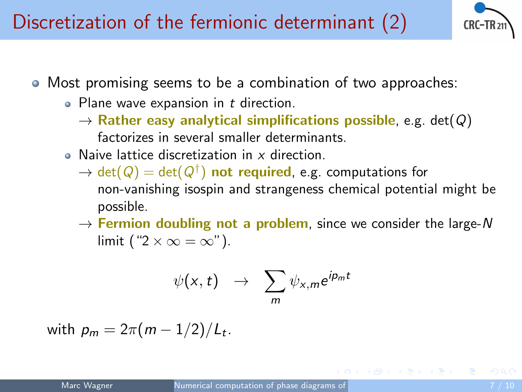Discretization of the fermionic determinant (2)



- Most promising seems to be a combination of two approaches:
	- Plane wave expansion in  $t$  direction.
		- $\rightarrow$  Rather easy analytical simplifications possible, e.g. det(Q) factorizes in several smaller determinants.
	- Naive lattice discretization in  $x$  direction.
		- $\rightarrow$   $\text{det}(Q) = \text{det}(Q^\dagger)$  not required, e.g. computations for non-vanishing isospin and strangeness chemical potential might be possible.
		- $\rightarrow$  Fermion doubling not a problem, since we consider the large-N limit (" $2 \times \infty = \infty$ ").

$$
\psi(x,t) \rightarrow \sum_m \psi_{x,m} e^{ip_m t}
$$

with  $\rho_m = 2\pi(m-1/2)/L_t$ .

何 ▶ ィヨ ▶ ィヨ ▶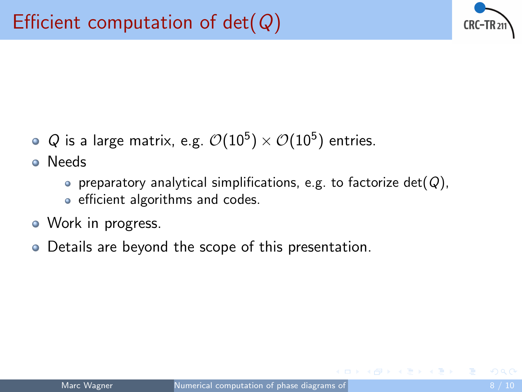

 $Q$  is a large matrix, e.g.  $\mathcal{O}(10^5)\times\mathcal{O}(10^5)$  entries.

Needs

- **•** preparatory analytical simplifications, e.g. to factorize det( $Q$ ),
- efficient algorithms and codes.
- Work in progress.
- Details are beyond the scope of this presentation.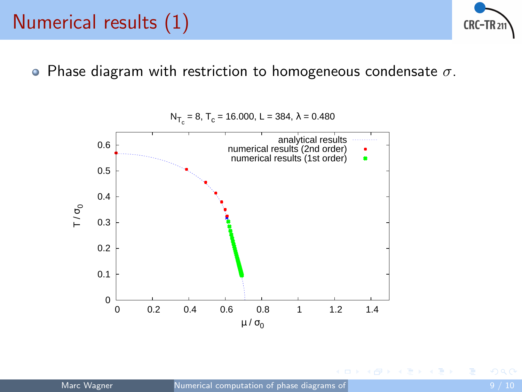#### <span id="page-8-0"></span>Numerical results (1)



• Phase diagram with restriction to homogeneous condensate  $\sigma$ .